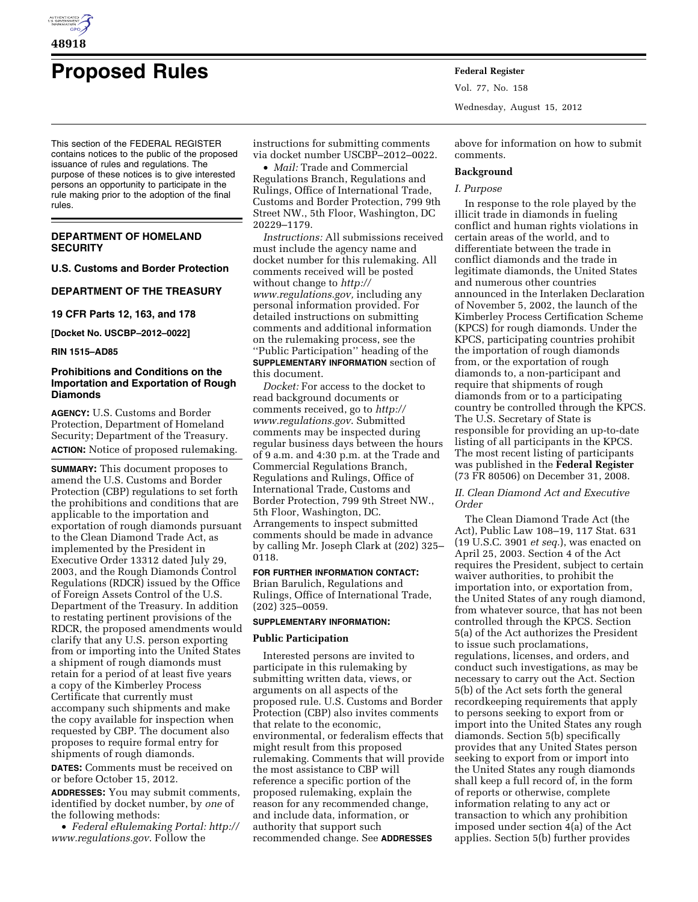

# **Proposed Rules Federal Register**

This section of the FEDERAL REGISTER contains notices to the public of the proposed issuance of rules and regulations. The purpose of these notices is to give interested persons an opportunity to participate in the rule making prior to the adoption of the final rules.

# **DEPARTMENT OF HOMELAND SECURITY**

**U.S. Customs and Border Protection** 

**DEPARTMENT OF THE TREASURY** 

**19 CFR Parts 12, 163, and 178** 

**[Docket No. USCBP–2012–0022]** 

**RIN 1515–AD85** 

# **Prohibitions and Conditions on the Importation and Exportation of Rough Diamonds**

**AGENCY:** U.S. Customs and Border Protection, Department of Homeland Security; Department of the Treasury. **ACTION:** Notice of proposed rulemaking.

**SUMMARY:** This document proposes to amend the U.S. Customs and Border Protection (CBP) regulations to set forth the prohibitions and conditions that are applicable to the importation and exportation of rough diamonds pursuant to the Clean Diamond Trade Act, as implemented by the President in Executive Order 13312 dated July 29, 2003, and the Rough Diamonds Control Regulations (RDCR) issued by the Office of Foreign Assets Control of the U.S. Department of the Treasury. In addition to restating pertinent provisions of the RDCR, the proposed amendments would clarify that any U.S. person exporting from or importing into the United States a shipment of rough diamonds must retain for a period of at least five years a copy of the Kimberley Process Certificate that currently must accompany such shipments and make the copy available for inspection when requested by CBP. The document also proposes to require formal entry for shipments of rough diamonds.

**DATES:** Comments must be received on or before October 15, 2012.

**ADDRESSES:** You may submit comments, identified by docket number, by *one* of the following methods:

• *Federal eRulemaking Portal: [http://](http://www.regulations.gov)  [www.regulations.gov](http://www.regulations.gov)*. Follow the

instructions for submitting comments via docket number USCBP–2012–0022.

• *Mail:* Trade and Commercial Regulations Branch, Regulations and Rulings, Office of International Trade, Customs and Border Protection, 799 9th Street NW., 5th Floor, Washington, DC 20229–1179.

*Instructions:* All submissions received must include the agency name and docket number for this rulemaking. All comments received will be posted without change to *[http://](http://www.regulations.gov) [www.regulations.gov,](http://www.regulations.gov)* including any personal information provided. For detailed instructions on submitting comments and additional information on the rulemaking process, see the ''Public Participation'' heading of the **SUPPLEMENTARY INFORMATION** section of this document.

*Docket:* For access to the docket to read background documents or comments received, go to *[http://](http://www.regulations.gov)  [www.regulations.gov](http://www.regulations.gov)*. Submitted comments may be inspected during regular business days between the hours of 9 a.m. and 4:30 p.m. at the Trade and Commercial Regulations Branch, Regulations and Rulings, Office of International Trade, Customs and Border Protection, 799 9th Street NW., 5th Floor, Washington, DC. Arrangements to inspect submitted comments should be made in advance by calling Mr. Joseph Clark at (202) 325– 0118.

# **FOR FURTHER INFORMATION CONTACT:**

Brian Barulich, Regulations and Rulings, Office of International Trade, (202) 325–0059.

# **SUPPLEMENTARY INFORMATION:**

#### **Public Participation**

Interested persons are invited to participate in this rulemaking by submitting written data, views, or arguments on all aspects of the proposed rule. U.S. Customs and Border Protection (CBP) also invites comments that relate to the economic, environmental, or federalism effects that might result from this proposed rulemaking. Comments that will provide the most assistance to CBP will reference a specific portion of the proposed rulemaking, explain the reason for any recommended change, and include data, information, or authority that support such recommended change. See **ADDRESSES**

Vol. 77, No. 158 Wednesday, August 15, 2012

above for information on how to submit comments.

#### **Background**

#### *I. Purpose*

In response to the role played by the illicit trade in diamonds in fueling conflict and human rights violations in certain areas of the world, and to differentiate between the trade in conflict diamonds and the trade in legitimate diamonds, the United States and numerous other countries announced in the Interlaken Declaration of November 5, 2002, the launch of the Kimberley Process Certification Scheme (KPCS) for rough diamonds. Under the KPCS, participating countries prohibit the importation of rough diamonds from, or the exportation of rough diamonds to, a non-participant and require that shipments of rough diamonds from or to a participating country be controlled through the KPCS. The U.S. Secretary of State is responsible for providing an up-to-date listing of all participants in the KPCS. The most recent listing of participants was published in the **Federal Register**  (73 FR 80506) on December 31, 2008.

# *II. Clean Diamond Act and Executive Order*

The Clean Diamond Trade Act (the Act), Public Law 108–19, 117 Stat. 631 (19 U.S.C. 3901 *et seq.*), was enacted on April 25, 2003. Section 4 of the Act requires the President, subject to certain waiver authorities, to prohibit the importation into, or exportation from, the United States of any rough diamond, from whatever source, that has not been controlled through the KPCS. Section 5(a) of the Act authorizes the President to issue such proclamations, regulations, licenses, and orders, and conduct such investigations, as may be necessary to carry out the Act. Section 5(b) of the Act sets forth the general recordkeeping requirements that apply to persons seeking to export from or import into the United States any rough diamonds. Section 5(b) specifically provides that any United States person seeking to export from or import into the United States any rough diamonds shall keep a full record of, in the form of reports or otherwise, complete information relating to any act or transaction to which any prohibition imposed under section 4(a) of the Act applies. Section 5(b) further provides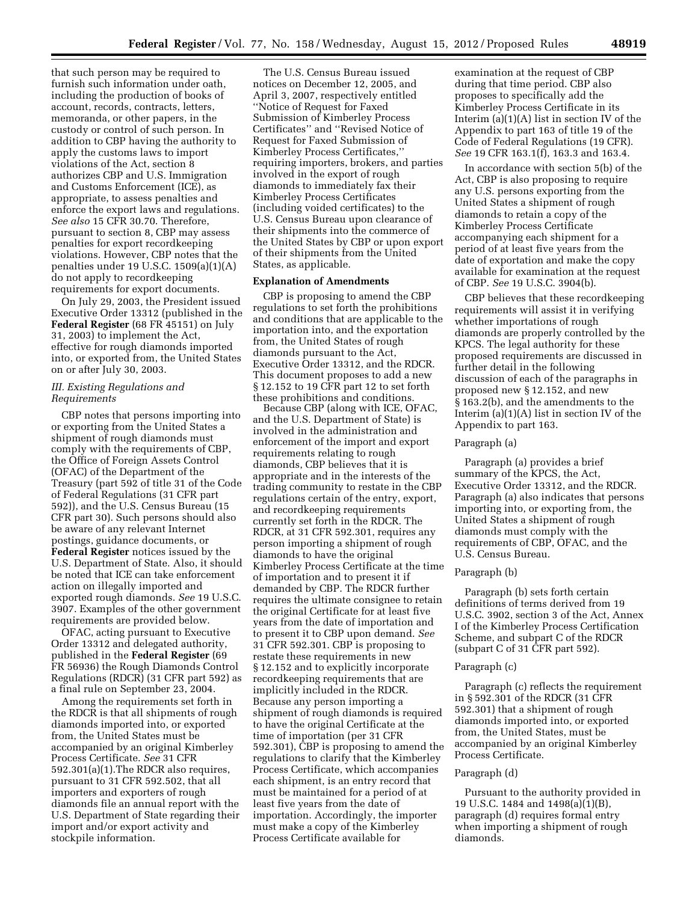that such person may be required to furnish such information under oath, including the production of books of account, records, contracts, letters, memoranda, or other papers, in the custody or control of such person. In addition to CBP having the authority to apply the customs laws to import violations of the Act, section 8 authorizes CBP and U.S. Immigration and Customs Enforcement (ICE), as appropriate, to assess penalties and enforce the export laws and regulations. *See also* 15 CFR 30.70. Therefore, pursuant to section 8, CBP may assess penalties for export recordkeeping violations. However, CBP notes that the penalties under 19 U.S.C. 1509(a)(1)(A) do not apply to recordkeeping requirements for export documents.

On July 29, 2003, the President issued Executive Order 13312 (published in the **Federal Register** (68 FR 45151) on July 31, 2003) to implement the Act, effective for rough diamonds imported into, or exported from, the United States on or after July 30, 2003.

# *III. Existing Regulations and Requirements*

CBP notes that persons importing into or exporting from the United States a shipment of rough diamonds must comply with the requirements of CBP, the Office of Foreign Assets Control (OFAC) of the Department of the Treasury (part 592 of title 31 of the Code of Federal Regulations (31 CFR part 592)), and the U.S. Census Bureau (15 CFR part 30). Such persons should also be aware of any relevant Internet postings, guidance documents, or **Federal Register** notices issued by the U.S. Department of State. Also, it should be noted that ICE can take enforcement action on illegally imported and exported rough diamonds. *See* 19 U.S.C. 3907. Examples of the other government requirements are provided below.

OFAC, acting pursuant to Executive Order 13312 and delegated authority, published in the **Federal Register** (69 FR 56936) the Rough Diamonds Control Regulations (RDCR) (31 CFR part 592) as a final rule on September 23, 2004.

Among the requirements set forth in the RDCR is that all shipments of rough diamonds imported into, or exported from, the United States must be accompanied by an original Kimberley Process Certificate. *See* 31 CFR 592.301(a)(1).The RDCR also requires, pursuant to 31 CFR 592.502, that all importers and exporters of rough diamonds file an annual report with the U.S. Department of State regarding their import and/or export activity and stockpile information.

The U.S. Census Bureau issued notices on December 12, 2005, and April 3, 2007, respectively entitled ''Notice of Request for Faxed Submission of Kimberley Process Certificates'' and ''Revised Notice of Request for Faxed Submission of Kimberley Process Certificates,'' requiring importers, brokers, and parties involved in the export of rough diamonds to immediately fax their Kimberley Process Certificates (including voided certificates) to the U.S. Census Bureau upon clearance of their shipments into the commerce of the United States by CBP or upon export of their shipments from the United States, as applicable.

#### **Explanation of Amendments**

CBP is proposing to amend the CBP regulations to set forth the prohibitions and conditions that are applicable to the importation into, and the exportation from, the United States of rough diamonds pursuant to the Act, Executive Order 13312, and the RDCR. This document proposes to add a new § 12.152 to 19 CFR part 12 to set forth these prohibitions and conditions.

Because CBP (along with ICE, OFAC, and the U.S. Department of State) is involved in the administration and enforcement of the import and export requirements relating to rough diamonds, CBP believes that it is appropriate and in the interests of the trading community to restate in the CBP regulations certain of the entry, export, and recordkeeping requirements currently set forth in the RDCR. The RDCR, at 31 CFR 592.301, requires any person importing a shipment of rough diamonds to have the original Kimberley Process Certificate at the time of importation and to present it if demanded by CBP. The RDCR further requires the ultimate consignee to retain the original Certificate for at least five years from the date of importation and to present it to CBP upon demand. *See*  31 CFR 592.301. CBP is proposing to restate these requirements in new § 12.152 and to explicitly incorporate recordkeeping requirements that are implicitly included in the RDCR. Because any person importing a shipment of rough diamonds is required to have the original Certificate at the time of importation (per 31 CFR 592.301), CBP is proposing to amend the regulations to clarify that the Kimberley Process Certificate, which accompanies each shipment, is an entry record that must be maintained for a period of at least five years from the date of importation. Accordingly, the importer must make a copy of the Kimberley Process Certificate available for

examination at the request of CBP during that time period. CBP also proposes to specifically add the Kimberley Process Certificate in its Interim (a)(1)(A) list in section IV of the Appendix to part 163 of title 19 of the Code of Federal Regulations (19 CFR). *See* 19 CFR 163.1(f), 163.3 and 163.4.

In accordance with section 5(b) of the Act, CBP is also proposing to require any U.S. persons exporting from the United States a shipment of rough diamonds to retain a copy of the Kimberley Process Certificate accompanying each shipment for a period of at least five years from the date of exportation and make the copy available for examination at the request of CBP. *See* 19 U.S.C. 3904(b).

CBP believes that these recordkeeping requirements will assist it in verifying whether importations of rough diamonds are properly controlled by the KPCS. The legal authority for these proposed requirements are discussed in further detail in the following discussion of each of the paragraphs in proposed new § 12.152, and new § 163.2(b), and the amendments to the Interim (a)(1)(A) list in section IV of the Appendix to part 163.

# Paragraph (a)

Paragraph (a) provides a brief summary of the KPCS, the Act, Executive Order 13312, and the RDCR. Paragraph (a) also indicates that persons importing into, or exporting from, the United States a shipment of rough diamonds must comply with the requirements of CBP, OFAC, and the U.S. Census Bureau.

# Paragraph (b)

Paragraph (b) sets forth certain definitions of terms derived from 19 U.S.C. 3902, section 3 of the Act, Annex I of the Kimberley Process Certification Scheme, and subpart C of the RDCR (subpart C of 31 CFR part 592).

#### Paragraph (c)

Paragraph (c) reflects the requirement in § 592.301 of the RDCR (31 CFR 592.301) that a shipment of rough diamonds imported into, or exported from, the United States, must be accompanied by an original Kimberley Process Certificate.

#### Paragraph (d)

Pursuant to the authority provided in 19 U.S.C. 1484 and 1498(a)(1)(B), paragraph (d) requires formal entry when importing a shipment of rough diamonds.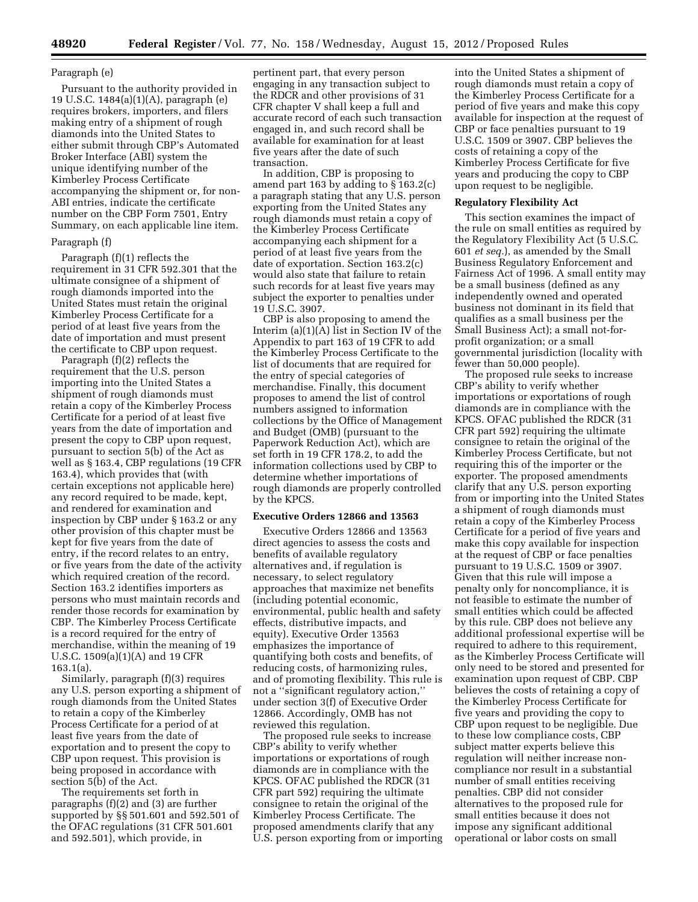# Paragraph (e)

Pursuant to the authority provided in 19 U.S.C. 1484(a)(1)(A), paragraph (e) requires brokers, importers, and filers making entry of a shipment of rough diamonds into the United States to either submit through CBP's Automated Broker Interface (ABI) system the unique identifying number of the Kimberley Process Certificate accompanying the shipment or, for non-ABI entries, indicate the certificate number on the CBP Form 7501, Entry Summary, on each applicable line item.

# Paragraph (f)

Paragraph (f)(1) reflects the requirement in 31 CFR 592.301 that the ultimate consignee of a shipment of rough diamonds imported into the United States must retain the original Kimberley Process Certificate for a period of at least five years from the date of importation and must present the certificate to CBP upon request.

Paragraph (f)(2) reflects the requirement that the U.S. person importing into the United States a shipment of rough diamonds must retain a copy of the Kimberley Process Certificate for a period of at least five years from the date of importation and present the copy to CBP upon request, pursuant to section 5(b) of the Act as well as § 163.4, CBP regulations (19 CFR 163.4), which provides that (with certain exceptions not applicable here) any record required to be made, kept, and rendered for examination and inspection by CBP under § 163.2 or any other provision of this chapter must be kept for five years from the date of entry, if the record relates to an entry, or five years from the date of the activity which required creation of the record. Section 163.2 identifies importers as persons who must maintain records and render those records for examination by CBP. The Kimberley Process Certificate is a record required for the entry of merchandise, within the meaning of 19 U.S.C. 1509(a)(1)(A) and 19 CFR 163.1(a).

Similarly, paragraph (f)(3) requires any U.S. person exporting a shipment of rough diamonds from the United States to retain a copy of the Kimberley Process Certificate for a period of at least five years from the date of exportation and to present the copy to CBP upon request. This provision is being proposed in accordance with section 5(b) of the Act.

The requirements set forth in paragraphs (f)(2) and (3) are further supported by §§ 501.601 and 592.501 of the OFAC regulations (31 CFR 501.601 and 592.501), which provide, in

pertinent part, that every person engaging in any transaction subject to the RDCR and other provisions of 31 CFR chapter V shall keep a full and accurate record of each such transaction engaged in, and such record shall be available for examination for at least five years after the date of such transaction.

In addition, CBP is proposing to amend part 163 by adding to § 163.2(c) a paragraph stating that any U.S. person exporting from the United States any rough diamonds must retain a copy of the Kimberley Process Certificate accompanying each shipment for a period of at least five years from the date of exportation. Section 163.2(c) would also state that failure to retain such records for at least five years may subject the exporter to penalties under 19 U.S.C. 3907.

CBP is also proposing to amend the Interim (a)(1)(A) list in Section IV of the Appendix to part 163 of 19 CFR to add the Kimberley Process Certificate to the list of documents that are required for the entry of special categories of merchandise. Finally, this document proposes to amend the list of control numbers assigned to information collections by the Office of Management and Budget (OMB) (pursuant to the Paperwork Reduction Act), which are set forth in 19 CFR 178.2, to add the information collections used by CBP to determine whether importations of rough diamonds are properly controlled by the KPCS.

### **Executive Orders 12866 and 13563**

Executive Orders 12866 and 13563 direct agencies to assess the costs and benefits of available regulatory alternatives and, if regulation is necessary, to select regulatory approaches that maximize net benefits (including potential economic, environmental, public health and safety effects, distributive impacts, and equity). Executive Order 13563 emphasizes the importance of quantifying both costs and benefits, of reducing costs, of harmonizing rules, and of promoting flexibility. This rule is not a ''significant regulatory action,'' under section 3(f) of Executive Order 12866. Accordingly, OMB has not reviewed this regulation.

The proposed rule seeks to increase CBP's ability to verify whether importations or exportations of rough diamonds are in compliance with the KPCS. OFAC published the RDCR (31 CFR part 592) requiring the ultimate consignee to retain the original of the Kimberley Process Certificate. The proposed amendments clarify that any U.S. person exporting from or importing

into the United States a shipment of rough diamonds must retain a copy of the Kimberley Process Certificate for a period of five years and make this copy available for inspection at the request of CBP or face penalties pursuant to 19 U.S.C. 1509 or 3907. CBP believes the costs of retaining a copy of the Kimberley Process Certificate for five years and producing the copy to CBP upon request to be negligible.

#### **Regulatory Flexibility Act**

This section examines the impact of the rule on small entities as required by the Regulatory Flexibility Act (5 U.S.C. 601 *et seq.*), as amended by the Small Business Regulatory Enforcement and Fairness Act of 1996. A small entity may be a small business (defined as any independently owned and operated business not dominant in its field that qualifies as a small business per the Small Business Act); a small not-forprofit organization; or a small governmental jurisdiction (locality with fewer than 50,000 people).

The proposed rule seeks to increase CBP's ability to verify whether importations or exportations of rough diamonds are in compliance with the KPCS. OFAC published the RDCR (31 CFR part 592) requiring the ultimate consignee to retain the original of the Kimberley Process Certificate, but not requiring this of the importer or the exporter. The proposed amendments clarify that any U.S. person exporting from or importing into the United States a shipment of rough diamonds must retain a copy of the Kimberley Process Certificate for a period of five years and make this copy available for inspection at the request of CBP or face penalties pursuant to 19 U.S.C. 1509 or 3907. Given that this rule will impose a penalty only for noncompliance, it is not feasible to estimate the number of small entities which could be affected by this rule. CBP does not believe any additional professional expertise will be required to adhere to this requirement, as the Kimberley Process Certificate will only need to be stored and presented for examination upon request of CBP. CBP believes the costs of retaining a copy of the Kimberley Process Certificate for five years and providing the copy to CBP upon request to be negligible. Due to these low compliance costs, CBP subject matter experts believe this regulation will neither increase noncompliance nor result in a substantial number of small entities receiving penalties. CBP did not consider alternatives to the proposed rule for small entities because it does not impose any significant additional operational or labor costs on small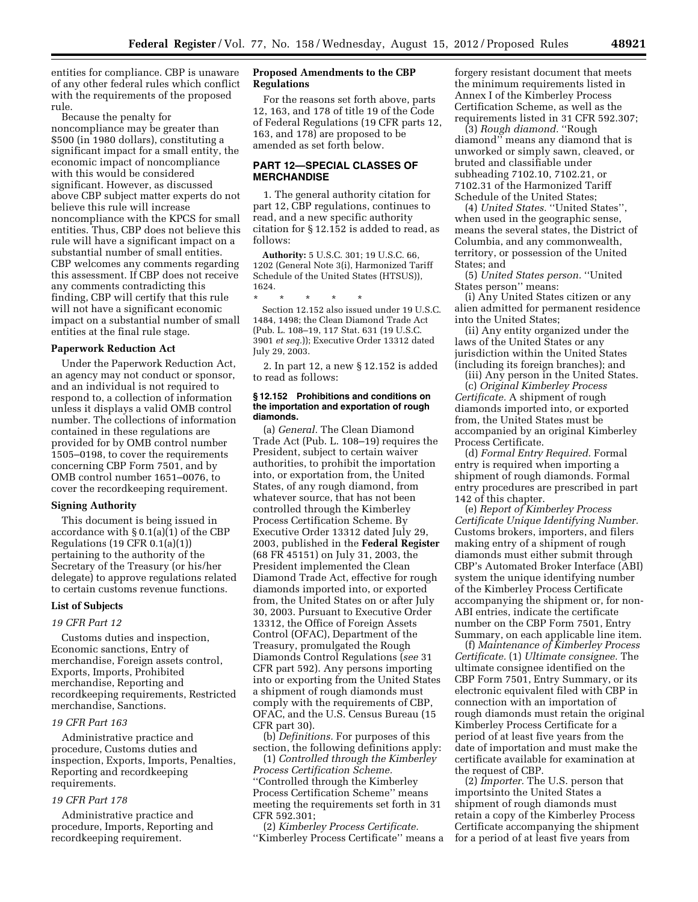entities for compliance. CBP is unaware of any other federal rules which conflict with the requirements of the proposed rule.

Because the penalty for noncompliance may be greater than \$500 (in 1980 dollars), constituting a significant impact for a small entity, the economic impact of noncompliance with this would be considered significant. However, as discussed above CBP subject matter experts do not believe this rule will increase noncompliance with the KPCS for small entities. Thus, CBP does not believe this rule will have a significant impact on a substantial number of small entities. CBP welcomes any comments regarding this assessment. If CBP does not receive any comments contradicting this finding, CBP will certify that this rule will not have a significant economic impact on a substantial number of small entities at the final rule stage.

# **Paperwork Reduction Act**

Under the Paperwork Reduction Act, an agency may not conduct or sponsor, and an individual is not required to respond to, a collection of information unless it displays a valid OMB control number. The collections of information contained in these regulations are provided for by OMB control number 1505–0198, to cover the requirements concerning CBP Form 7501, and by OMB control number 1651–0076, to cover the recordkeeping requirement.

#### **Signing Authority**

This document is being issued in accordance with § 0.1(a)(1) of the CBP Regulations (19 CFR 0.1(a)(1)) pertaining to the authority of the Secretary of the Treasury (or his/her delegate) to approve regulations related to certain customs revenue functions.

# **List of Subjects**

# *19 CFR Part 12*

Customs duties and inspection, Economic sanctions, Entry of merchandise, Foreign assets control, Exports, Imports, Prohibited merchandise, Reporting and recordkeeping requirements, Restricted merchandise, Sanctions.

#### *19 CFR Part 163*

Administrative practice and procedure, Customs duties and inspection, Exports, Imports, Penalties, Reporting and recordkeeping requirements.

# *19 CFR Part 178*

Administrative practice and procedure, Imports, Reporting and recordkeeping requirement.

# **Proposed Amendments to the CBP Regulations**

For the reasons set forth above, parts 12, 163, and 178 of title 19 of the Code of Federal Regulations (19 CFR parts 12, 163, and 178) are proposed to be amended as set forth below.

# **PART 12—SPECIAL CLASSES OF MERCHANDISE**

1. The general authority citation for part 12, CBP regulations, continues to read, and a new specific authority citation for § 12.152 is added to read, as follows:

**Authority:** 5 U.S.C. 301; 19 U.S.C. 66, 1202 (General Note 3(i), Harmonized Tariff Schedule of the United States (HTSUS)), 1624.

\* \* \* \* \* Section 12.152 also issued under 19 U.S.C. 1484, 1498; the Clean Diamond Trade Act (Pub. L. 108–19, 117 Stat. 631 (19 U.S.C. 3901 *et seq.*)); Executive Order 13312 dated July 29, 2003.

2. In part 12, a new § 12.152 is added to read as follows:

#### **§ 12.152 Prohibitions and conditions on the importation and exportation of rough diamonds.**

(a) *General.* The Clean Diamond Trade Act (Pub. L. 108–19) requires the President, subject to certain waiver authorities, to prohibit the importation into, or exportation from, the United States, of any rough diamond, from whatever source, that has not been controlled through the Kimberley Process Certification Scheme. By Executive Order 13312 dated July 29, 2003, published in the **Federal Register**  (68 FR 45151) on July 31, 2003, the President implemented the Clean Diamond Trade Act, effective for rough diamonds imported into, or exported from, the United States on or after July 30, 2003. Pursuant to Executive Order 13312, the Office of Foreign Assets Control (OFAC), Department of the Treasury, promulgated the Rough Diamonds Control Regulations (*see* 31 CFR part 592). Any persons importing into or exporting from the United States a shipment of rough diamonds must comply with the requirements of CBP, OFAC, and the U.S. Census Bureau (15 CFR part 30).

(b) *Definitions.* For purposes of this section, the following definitions apply:

(1) *Controlled through the Kimberley Process Certification Scheme.*  ''Controlled through the Kimberley Process Certification Scheme'' means meeting the requirements set forth in 31 CFR 592.301;

(2) *Kimberley Process Certificate.*  ''Kimberley Process Certificate'' means a

forgery resistant document that meets the minimum requirements listed in Annex I of the Kimberley Process Certification Scheme, as well as the requirements listed in 31 CFR 592.307;

(3) *Rough diamond.* ''Rough diamond'' means any diamond that is unworked or simply sawn, cleaved, or bruted and classifiable under subheading 7102.10, 7102.21, or 7102.31 of the Harmonized Tariff Schedule of the United States;

(4) *United States.* ''United States'', when used in the geographic sense, means the several states, the District of Columbia, and any commonwealth, territory, or possession of the United States; and

(5) *United States person.* ''United States person'' means:

(i) Any United States citizen or any alien admitted for permanent residence into the United States;

(ii) Any entity organized under the laws of the United States or any jurisdiction within the United States (including its foreign branches); and

(iii) Any person in the United States. (c) *Original Kimberley Process Certificate.* A shipment of rough diamonds imported into, or exported from, the United States must be accompanied by an original Kimberley Process Certificate.

(d) *Formal Entry Required.* Formal entry is required when importing a shipment of rough diamonds. Formal entry procedures are prescribed in part 142 of this chapter.

(e) *Report of Kimberley Process Certificate Unique Identifying Number.*  Customs brokers, importers, and filers making entry of a shipment of rough diamonds must either submit through CBP's Automated Broker Interface (ABI) system the unique identifying number of the Kimberley Process Certificate accompanying the shipment or, for non-ABI entries, indicate the certificate number on the CBP Form 7501, Entry Summary, on each applicable line item.

(f) *Maintenance of Kimberley Process Certificate.* (1) *Ultimate consignee.* The ultimate consignee identified on the CBP Form 7501, Entry Summary, or its electronic equivalent filed with CBP in connection with an importation of rough diamonds must retain the original Kimberley Process Certificate for a period of at least five years from the date of importation and must make the certificate available for examination at the request of CBP.

(2) *Importer.* The U.S. person that importsinto the United States a shipment of rough diamonds must retain a copy of the Kimberley Process Certificate accompanying the shipment for a period of at least five years from